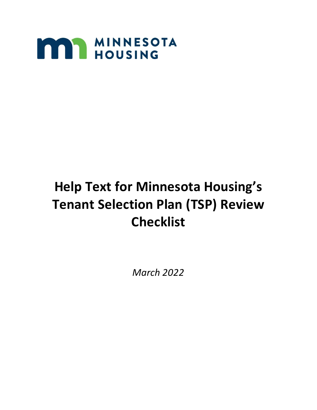

# **Help Text for Minnesota Housing's Tenant Selection Plan (TSP) Review Checklist**

*March 2022*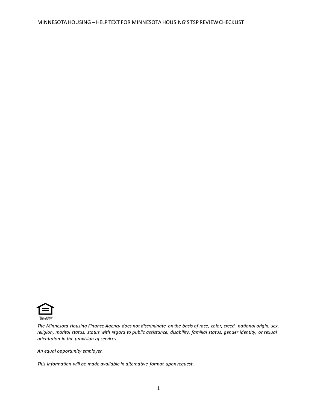

*The Minnesota Housing Finance Agency does not discriminate on the basis of race, color, creed, national origin, sex, religion, marital status, status with regard to public assistance, disability, familial status, gender identity, or sexual orientation in the provision of services.*

*An equal opportunity employer.*

*This information will be made available in alternative format upon request.*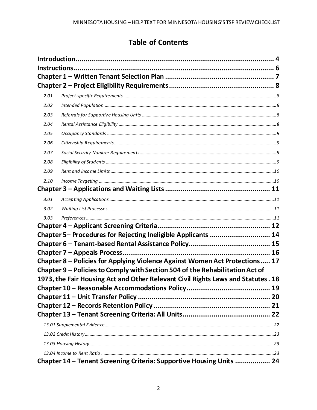# **Table of Contents**

| 2.01 |                                                                                                                                                                  |  |
|------|------------------------------------------------------------------------------------------------------------------------------------------------------------------|--|
| 2.02 |                                                                                                                                                                  |  |
| 2.03 |                                                                                                                                                                  |  |
| 2.04 |                                                                                                                                                                  |  |
| 2.05 |                                                                                                                                                                  |  |
| 2.06 |                                                                                                                                                                  |  |
| 2.07 |                                                                                                                                                                  |  |
| 2.08 |                                                                                                                                                                  |  |
| 2.09 |                                                                                                                                                                  |  |
| 2.10 |                                                                                                                                                                  |  |
|      |                                                                                                                                                                  |  |
| 3.01 |                                                                                                                                                                  |  |
| 3.02 |                                                                                                                                                                  |  |
| 3.03 |                                                                                                                                                                  |  |
|      |                                                                                                                                                                  |  |
|      | Chapter 5- Procedures for Rejecting Ineligible Applicants  14                                                                                                    |  |
|      |                                                                                                                                                                  |  |
|      |                                                                                                                                                                  |  |
|      | Chapter 8 - Policies for Applying Violence Against Women Act Protections 17                                                                                      |  |
|      | Chapter 9 - Policies to Comply with Section 504 of the Rehabilitation Act of<br>1973, the Fair Housing Act and Other Relevant Civil Rights Laws and Statutes. 18 |  |
|      |                                                                                                                                                                  |  |
|      |                                                                                                                                                                  |  |
|      |                                                                                                                                                                  |  |
|      |                                                                                                                                                                  |  |
|      |                                                                                                                                                                  |  |
|      |                                                                                                                                                                  |  |
|      |                                                                                                                                                                  |  |
|      |                                                                                                                                                                  |  |
|      | Chapter 14 - Tenant Screening Criteria: Supportive Housing Units  24                                                                                             |  |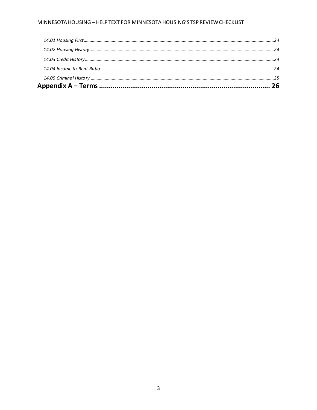#### MINNESOTA HOUSING - HELP TEXT FOR MINNESOTA HOUSING'S TSP REVIEW CHECKLIST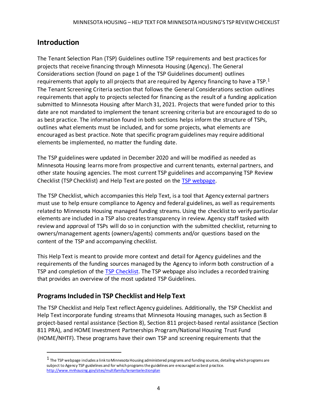# <span id="page-5-0"></span>**Introduction**

The Tenant Selection Plan (TSP) Guidelines outline TSP requirements and best practices for projects that receive financing through Minnesota Housing (Agency). The General Considerations section (found on page 1 of the TSP Guidelines document) outlines requirements that apply to all projects that are required by Agency financing to have a TSP.<sup>1</sup> The Tenant Screening Criteria section that follows the General Considerations section outlines requirements that apply to projects selected for financing as the result of a funding application submitted to Minnesota Housing after March 31, 2021. Projects that were funded prior to this date are not mandated to implement the tenant screening criteria but are encouraged to do so as best practice. The information found in both sections helps inform the structure of TSPs, outlines what elements must be included, and for some projects, what elements are encouraged as best practice. Note that specific program guidelines may require additional elements be implemented, no matter the funding date.

The TSP guidelines were updated in December 2020 and will be modified as needed as Minnesota Housing learns more from prospective and current tenants, external partners, and other state housing agencies. The most current TSP guidelines and accompanying TSP Review Checklist (TSP Checklist) and Help Text are posted on the [TSP webpage.](http://www.mnhousing.gov/sites/multifamily/tenantselectionplan)

The TSP Checklist, which accompanies this Help Text, is a tool that Agency external partners must use to help ensure compliance to Agency and federal guidelines, as well as requirements related to Minnesota Housing managed funding streams. Using the checklist to verify particular elements are included in a TSP also creates transparency in review. Agency staff tasked with review and approval of TSPs will do so in conjunction with the submitted checklist, returning to owners/management agents (owners/agents) comments and/or questions based on the content of the TSP and accompanying checklist.

This Help Text is meant to provide more context and detail for Agency guidelines and the requirements of the funding sources managed by the Agency to inform both construction of a TSP and completion of the [TSP Checklist.](http://www.mnhousing.gov/sites/multifamily/tenantselectionplan) The TSP webpage also includes a recorded training that provides an overview of the most updated TSP Guidelines.

### **Programs Included in TSP Checklist and Help Text**

The TSP Checklist and Help Text reflect Agency guidelines. Additionally, the TSP Checklist and Help Text incorporate funding streams that Minnesota Housing manages, such as Section 8 project-based rental assistance (Section 8), Section 811 project-based rental assistance (Section 811 PRA), and HOME Investment Partnerships Program/National Housing Trust Fund (HOME/NHTF). These programs have their own TSP and screening requirements that the

 $1$  The TSP webpage includes a link to Minnesota Housing administered programs and funding sources, detailing which programs are subject to Agency TSP guidelines and for which programs the guidelines are encouraged as best practice. <http://www.mnhousing.gov/sites/multifamily/tenantselectionplan>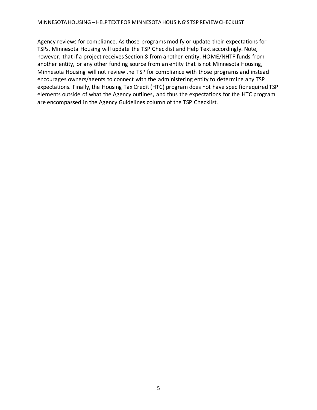Agency reviews for compliance. As those programs modify or update their expectations for TSPs, Minnesota Housing will update the TSP Checklist and Help Text accordingly. Note, however, that if a project receives Section 8 from another entity, HOME/NHTF funds from another entity, or any other funding source from an entity that is not Minnesota Housing, Minnesota Housing will not review the TSP for compliance with those programs and instead encourages owners/agents to connect with the administering entity to determine any TSP expectations. Finally, the Housing Tax Credit (HTC) program does not have specific required TSP elements outside of what the Agency outlines, and thus the expectations for the HTC program are encompassed in the Agency Guidelines column of the TSP Checklist.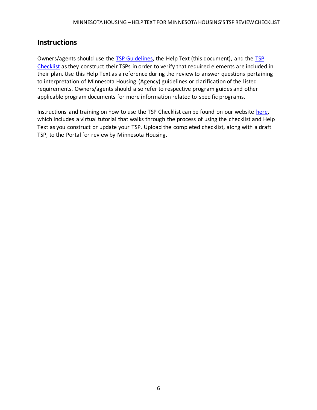# <span id="page-7-0"></span>**Instructions**

Owners/agents should use the [TSP Guidelines,](http://www.mnhousing.gov/sites/multifamily/tenantselectionplan) the Help Text (this document), and the [TSP](http://www.mnhousing.gov/sites/multifamily/tenantselectionplan)  [Checklist](http://www.mnhousing.gov/sites/multifamily/tenantselectionplan) as they construct their TSPs in order to verify that required elements are included in their plan. Use this Help Text as a reference during the review to answer questions pertaining to interpretation of Minnesota Housing (Agency) guidelines or clarification of the listed requirements. Owners/agents should also refer to respective program guides and other applicable program documents for more information related to specific programs.

Instructions and training on how to use the TSP Checklist can be found on our website [here,](http://www.mnhousing.gov/sites/multifamily/tenantselectionplan) which includes a virtual tutorial that walks through the process of using the checklist and Help Text as you construct or update your TSP. Upload the completed checklist, along with a draft TSP, to the Portal for review by Minnesota Housing.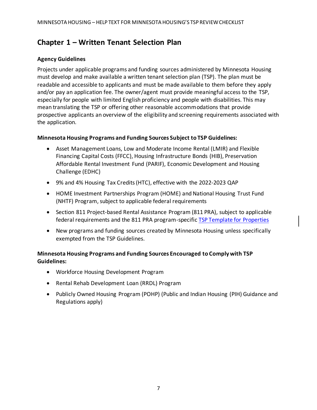# <span id="page-8-0"></span>**Chapter 1 – Written Tenant Selection Plan**

#### **Agency Guidelines**

Projects under applicable programs and funding sources administered by Minnesota Housing must develop and make available a written tenant selection plan (TSP). The plan must be readable and accessible to applicants and must be made available to them before they apply and/or pay an application fee. The owner/agent must provide meaningful access to the TSP, especially for people with limited English proficiency and people with disabilities. This may mean translating the TSP or offering other reasonable accommodations that provide prospective applicants an overview of the eligibility and screening requirements associated with the application.

#### **Minnesota Housing Programs and Funding Sources Subject to TSP Guidelines:**

- Asset Management Loans, Low and Moderate Income Rental (LMIR) and Flexible Financing Capital Costs (FFCC), Housing Infrastructure Bonds (HIB), Preservation Affordable Rental Investment Fund (PARIF), Economic Development and Housing Challenge (EDHC)
- 9% and 4% Housing Tax Credits (HTC), effective with the 2022-2023 QAP
- HOME Investment Partnerships Program (HOME) and National Housing Trust Fund (NHTF) Program, subject to applicable federal requirements
- Section 811 Project-based Rental Assistance Program (811 PRA), subject to applicable federal requirements and the 811 PRA program-specifi[c TSP Template for Properties](https://www.mnhousing.gov/sites/multifamily/section811)
- New programs and funding sources created by Minnesota Housing unless specifically exempted from the TSP Guidelines.

#### **Minnesota Housing Programs and Funding Sources Encouraged to Comply with TSP Guidelines:**

- Workforce Housing Development Program
- Rental Rehab Development Loan (RRDL) Program
- Publicly Owned Housing Program (POHP) (Public and Indian Housing (PIH) Guidance and Regulations apply)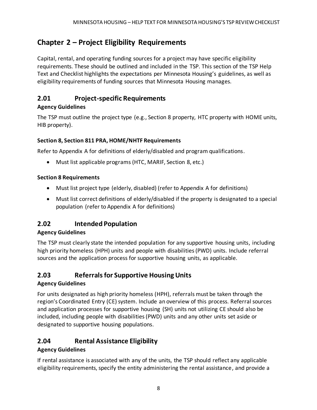# <span id="page-9-0"></span>**Chapter 2 – Project Eligibility Requirements**

Capital, rental, and operating funding sources for a project may have specific eligibility requirements. These should be outlined and included in the TSP. This section of the TSP Help Text and Checklist highlights the expectations per Minnesota Housing's guidelines, as well as eligibility requirements of funding sources that Minnesota Housing manages.

# <span id="page-9-1"></span>**2.01 Project-specific Requirements**

#### **Agency Guidelines**

The TSP must outline the project type (e.g., Section 8 property, HTC property with HOME units, HIB property).

#### **Section 8, Section 811 PRA, HOME/NHTF Requirements**

Refer to Appendix A for definitions of elderly/disabled and program qualifications.

• Must list applicable programs (HTC, MARIF, Section 8, etc.)

#### **Section 8 Requirements**

- Must list project type (elderly, disabled) (refer to Appendix A for definitions)
- Must list correct definitions of elderly/disabled if the property is designated to a special population (refer to Appendix A for definitions)

# <span id="page-9-2"></span>**2.02 Intended Population**

#### **Agency Guidelines**

The TSP must clearly state the intended population for any supportive housing units, including high priority homeless (HPH) units and people with disabilities (PWD) units. Include referral sources and the application process for supportive housing units, as applicable.

# <span id="page-9-3"></span>**2.03 Referrals for Supportive HousingUnits**

#### **Agency Guidelines**

For units designated as high priority homeless (HPH), referrals must be taken through the region's Coordinated Entry (CE) system. Include an overview of this process. Referral sources and application processes for supportive housing (SH) units not utilizing CE should also be included, including people with disabilities (PWD) units and any other units set aside or designated to supportive housing populations.

# <span id="page-9-4"></span>**2.04 Rental Assistance Eligibility**

#### **Agency Guidelines**

If rental assistance is associated with any of the units, the TSP should reflect any applicable eligibility requirements, specify the entity administering the rental assistance, and provide a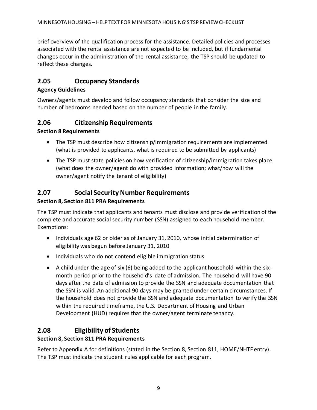brief overview of the qualification process for the assistance. Detailed policies and processes associated with the rental assistance are not expected to be included, but if fundamental changes occur in the administration of the rental assistance, the TSP should be updated to reflect these changes.

### <span id="page-10-0"></span>**2.05 Occupancy Standards**

#### **Agency Guidelines**

Owners/agents must develop and follow occupancy standards that consider the size and number of bedrooms needed based on the number of people in the family.

### <span id="page-10-1"></span>**2.06 Citizenship Requirements**

#### **Section 8 Requirements**

- The TSP must describe how citizenship/immigration requirements are implemented (what is provided to applicants, what is required to be submitted by applicants)
- The TSP must state policies on how verification of citizenship/immigration takes place (what does the owner/agent do with provided information; what/how will the owner/agent notify the tenant of eligibility)

# <span id="page-10-2"></span>**2.07 Social Security Number Requirements**

#### **Section 8, Section 811 PRA Requirements**

The TSP must indicate that applicants and tenants must disclose and provide verification of the complete and accurate social security number (SSN) assigned to each household member. Exemptions:

- Individuals age 62 or older as of January 31, 2010, whose initial determination of eligibility was begun before January 31, 2010
- Individuals who do not contend eligible immigration status
- A child under the age of six (6) being added to the applicant household within the sixmonth period prior to the household's date of admission. The household will have 90 days after the date of admission to provide the SSN and adequate documentation that the SSN is valid. An additional 90 days may be granted under certain circumstances. If the household does not provide the SSN and adequate documentation to verify the SSN within the required timeframe, the U.S. Department of Housing and Urban Development (HUD) requires that the owner/agent terminate tenancy.

# <span id="page-10-3"></span>**2.08 Eligibility of Students**

#### **Section 8, Section 811 PRA Requirements**

Refer to Appendix A for definitions (stated in the Section 8, Section 811, HOME/NHTF entry). The TSP must indicate the student rules applicable for each program.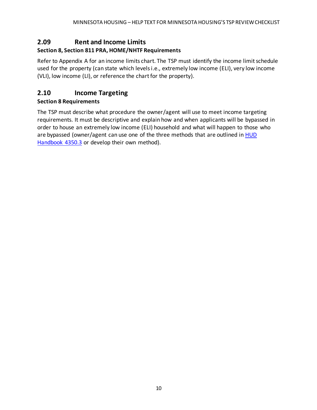# <span id="page-11-0"></span>**2.09 Rent and Income Limits**

#### **Section 8, Section 811 PRA, HOME/NHTF Requirements**

Refer to Appendix A for an income limits chart. The TSP must identify the income limit schedule used for the property (can state which levels i.e., extremely low income (ELI), very low income (VLI), low income (LI), or reference the chart for the property).

# <span id="page-11-1"></span>**2.10 Income Targeting**

#### **Section 8 Requirements**

The TSP must describe what procedure the owner/agent will use to meet income targeting requirements. It must be descriptive and explain how and when applicants will be bypassed in order to house an extremely low income (ELI) household and what will happen to those who are bypassed (owner/agent can use one of the three methods that are outlined in HUD [Handbook 4350.3](https://www.hud.gov/program_offices/administration/hudclips/handbooks/hsgh/4350.3) or develop their own method).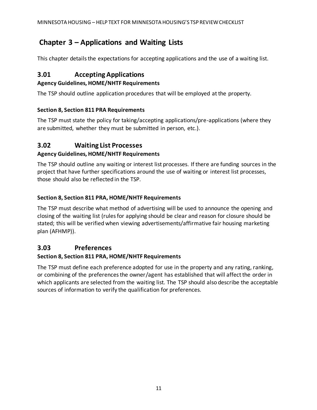# <span id="page-12-0"></span>**Chapter 3 – Applications and Waiting Lists**

This chapter details the expectations for accepting applications and the use of a waiting list.

# <span id="page-12-1"></span>**3.01 Accepting Applications**

#### **Agency Guidelines, HOME/NHTF Requirements**

The TSP should outline application procedures that will be employed at the property.

#### **Section 8, Section 811 PRA Requirements**

The TSP must state the policy for taking/accepting applications/pre-applications (where they are submitted, whether they must be submitted in person, etc.).

# <span id="page-12-2"></span>**3.02 Waiting List Processes**

#### **Agency Guidelines, HOME/NHTF Requirements**

The TSP should outline any waiting or interest list processes. If there are funding sources in the project that have further specifications around the use of waiting or interest list processes, those should also be reflected in the TSP.

#### **Section 8, Section 811 PRA, HOME/NHTF Requirements**

The TSP must describe what method of advertising will be used to announce the opening and closing of the waiting list (rules for applying should be clear and reason for closure should be stated; this will be verified when viewing advertisements/affirmative fair housing marketing plan (AFHMP)).

### <span id="page-12-3"></span>**3.03 Preferences**

#### **Section 8, Section 811 PRA, HOME/NHTF Requirements**

The TSP must define each preference adopted for use in the property and any rating, ranking, or combining of the preferences the owner/agent has established that will affect the order in which applicants are selected from the waiting list. The TSP should also describe the acceptable sources of information to verify the qualification for preferences.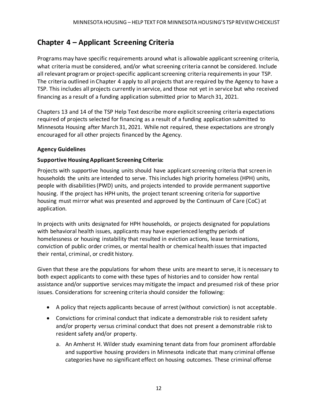# <span id="page-13-0"></span>**Chapter 4 – Applicant Screening Criteria**

Programs may have specific requirements around what is allowable applicant screening criteria, what criteria must be considered, and/or what screening criteria cannot be considered. Include all relevant program or project-specific applicant screening criteria requirements in your TSP. The criteria outlined in Chapter 4 apply to all projects that are required by the Agency to have a TSP. This includes all projects currently in service, and those not yet in service but who received financing as a result of a funding application submitted prior to March 31, 2021.

Chapters 13 and 14 of the TSP Help Text describe more explicit screening criteria expectations required of projects selected for financing as a result of a funding application submitted to Minnesota Housing after March 31, 2021. While not required, these expectations are strongly encouraged for all other projects financed by the Agency.

#### **Agency Guidelines**

#### **Supportive Housing Applicant Screening Criteria:**

Projects with supportive housing units should have applicant screening criteria that screen in households the units are intended to serve. This includes high priority homeless (HPH) units, people with disabilities (PWD) units, and projects intended to provide permanent supportive housing. If the project has HPH units, the project tenant screening criteria for supportive housing must mirror what was presented and approved by the Continuum of Care (CoC) at application.

In projects with units designated for HPH households, or projects designated for populations with behavioral health issues, applicants may have experienced lengthy periods of homelessness or housing instability that resulted in eviction actions, lease terminations, conviction of public order crimes, or mental health or chemical health issues that impacted their rental, criminal, or credit history.

Given that these are the populations for whom these units are meant to serve, it is necessary to both expect applicants to come with these types of histories and to consider how rental assistance and/or supportive services may mitigate the impact and presumed risk of these prior issues. Considerations for screening criteria should consider the following:

- A policy that rejects applicants because of arrest (without conviction) is not acceptable.
- Convictions for criminal conduct that indicate a demonstrable risk to resident safety and/or property versus criminal conduct that does not present a demonstrable risk to resident safety and/or property.
	- a. An Amherst H. Wilder study examining tenant data from four prominent affordable and supportive housing providers in Minnesota indicate that many criminal offense categories have no significant effect on housing outcomes. These criminal offense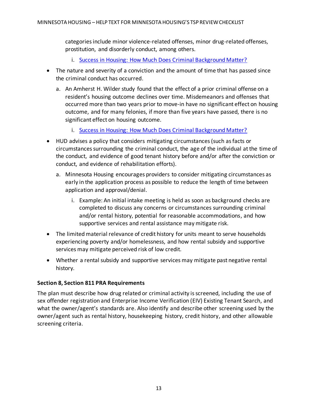categories include minor violence-related offenses, minor drug-related offenses, prostitution, and disorderly conduct, among others.

- i. [Success in Housing: How Much Does Criminal Background Matter?](https://drive.google.com/file/d/1HwYOBFJ_k98C6TT99w2o7ryk2CnAGvgo/view)
- The nature and severity of a conviction and the amount of time that has passed since the criminal conduct has occurred.
	- a. An Amherst H. Wilder study found that the effect of a prior criminal offense on a resident's housing outcome declines over time. Misdemeanors and offenses that occurred more than two years prior to move-in have no significant effect on housing outcome, and for many felonies, if more than five years have passed, there is no significant effect on housing outcome.
		- i. [Success in Housing: How Much Does Criminal Background Matter?](https://drive.google.com/file/d/1HwYOBFJ_k98C6TT99w2o7ryk2CnAGvgo/view)
- HUD advises a policy that considers mitigating circumstances (such as facts or circumstances surrounding the criminal conduct, the age of the individual at the time of the conduct, and evidence of good tenant history before and/or after the conviction or conduct, and evidence of rehabilitation efforts).
	- a. Minnesota Housing encourages providers to consider mitigating circumstances as early in the application process as possible to reduce the length of time between application and approval/denial.
		- i. Example: An initial intake meeting is held as soon as background checks are completed to discuss any concerns or circumstances surrounding criminal and/or rental history, potential for reasonable accommodations, and how supportive services and rental assistance may mitigate risk.
- The limited material relevance of credit history for units meant to serve households experiencing poverty and/or homelessness, and how rental subsidy and supportive services may mitigate perceived risk of low credit.
- Whether a rental subsidy and supportive services may mitigate past negative rental history.

#### **Section 8, Section 811 PRA Requirements**

The plan must describe how drug related or criminal activity is screened, including the use of sex offender registration and Enterprise Income Verification (EIV) Existing Tenant Search, and what the owner/agent's standards are. Also identify and describe other screening used by the owner/agent such as rental history, housekeeping history, credit history, and other allowable screening criteria.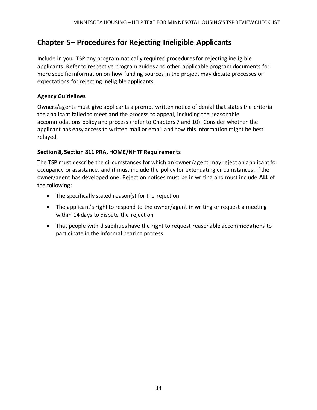# <span id="page-15-0"></span>**Chapter 5– Procedures for Rejecting Ineligible Applicants**

Include in your TSP any programmatically required procedures for rejecting ineligible applicants. Refer to respective program guides and other applicable program documents for more specific information on how funding sources in the project may dictate processes or expectations for rejecting ineligible applicants.

#### **Agency Guidelines**

Owners/agents must give applicants a prompt written notice of denial that states the criteria the applicant failed to meet and the process to appeal, including the reasonable accommodations policy and process (refer to Chapters 7 and 10). Consider whether the applicant has easy access to written mail or email and how this information might be best relayed.

#### **Section 8, Section 811 PRA, HOME/NHTF Requirements**

The TSP must describe the circumstances for which an owner/agent may reject an applicant for occupancy or assistance, and it must include the policy for extenuating circumstances, if the owner/agent has developed one. Rejection notices must be in writing and must include **ALL** of the following:

- The specifically stated reason(s) for the rejection
- The applicant's right to respond to the owner/agent in writing or request a meeting within 14 days to dispute the rejection
- That people with disabilities have the right to request reasonable accommodations to participate in the informal hearing process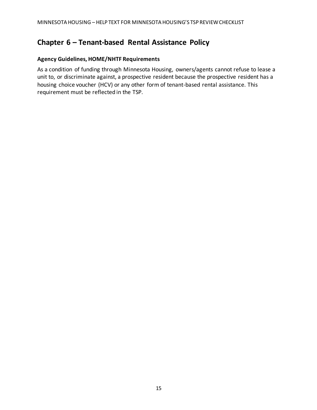# <span id="page-16-0"></span>**Chapter 6 – Tenant-based Rental Assistance Policy**

#### **Agency Guidelines, HOME/NHTF Requirements**

As a condition of funding through Minnesota Housing, owners/agents cannot refuse to lease a unit to, or discriminate against, a prospective resident because the prospective resident has a housing choice voucher (HCV) or any other form of tenant-based rental assistance. This requirement must be reflected in the TSP.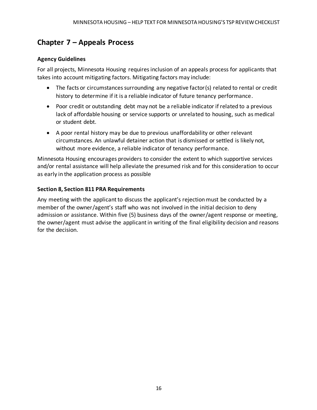# <span id="page-17-0"></span>**Chapter 7 – Appeals Process**

#### **Agency Guidelines**

For all projects, Minnesota Housing requires inclusion of an appeals process for applicants that takes into account mitigating factors. Mitigating factors may include:

- The facts or circumstances surrounding any negative factor(s) related to rental or credit history to determine if it is a reliable indicator of future tenancy performance.
- Poor credit or outstanding debt may not be a reliable indicator if related to a previous lack of affordable housing or service supports or unrelated to housing, such as medical or student debt.
- A poor rental history may be due to previous unaffordability or other relevant circumstances. An unlawful detainer action that is dismissed or settled is likely not, without more evidence, a reliable indicator of tenancy performance.

Minnesota Housing encourages providers to consider the extent to which supportive services and/or rental assistance will help alleviate the presumed risk and for this consideration to occur as early in the application process as possible

#### **Section 8, Section 811 PRA Requirements**

Any meeting with the applicant to discuss the applicant's rejection must be conducted by a member of the owner/agent's staff who was not involved in the initial decision to deny admission or assistance. Within five (5) business days of the owner/agent response or meeting, the owner/agent must advise the applicant in writing of the final eligibility decision and reasons for the decision.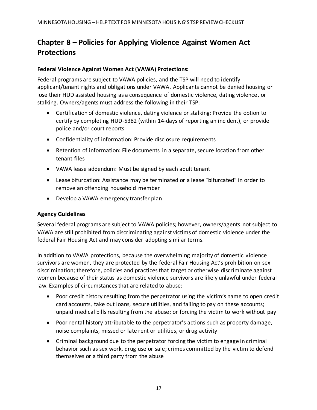# <span id="page-18-0"></span>**Chapter 8 – Policies for Applying Violence Against Women Act Protections**

#### **Federal Violence Against Women Act (VAWA) Protections:**

Federal programs are subject to VAWA policies, and the TSP will need to identify applicant/tenant rights and obligations under VAWA. Applicants cannot be denied housing or lose their HUD assisted housing as a consequence of domestic violence, dating violence, or stalking. Owners/agents must address the following in their TSP:

- Certification of domestic violence, dating violence or stalking: Provide the option to certify by completing HUD-5382 (within 14-days of reporting an incident), or provide police and/or court reports
- Confidentiality of information: Provide disclosure requirements
- Retention of information: File documents in a separate, secure location from other tenant files
- VAWA lease addendum: Must be signed by each adult tenant
- Lease bifurcation: Assistance may be terminated or a lease "bifurcated" in order to remove an offending household member
- Develop a VAWA emergency transfer plan

#### **Agency Guidelines**

Several federal programs are subject to VAWA policies; however, owners/agents not subject to VAWA are still prohibited from discriminating against victims of domestic violence under the federal Fair Housing Act and may consider adopting similar terms.

In addition to VAWA protections, because the overwhelming majority of domestic violence survivors are women, they are protected by the federal Fair Housing Act's prohibition on sex discrimination; therefore, policies and practices that target or otherwise discriminate against women because of their status as domestic violence survivors are likely unlawful under federal law. Examples of circumstances that are related to abuse:

- Poor credit history resulting from the perpetrator using the victim's name to open credit card accounts, take out loans, secure utilities, and failing to pay on these accounts; unpaid medical bills resulting from the abuse; or forcing the victim to work without pay
- Poor rental history attributable to the perpetrator's actions such as property damage, noise complaints, missed or late rent or utilities, or drug activity
- Criminal background due to the perpetrator forcing the victim to engage in criminal behavior such as sex work, drug use or sale; crimes committed by the victim to defend themselves or a third party from the abuse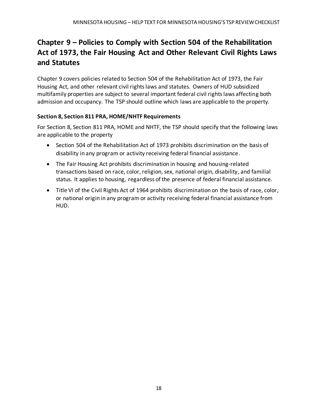# <span id="page-19-0"></span>**Chapter 9 – Policies to Comply with Section 504 of the Rehabilitation Act of 1973, the Fair Housing Act and Other Relevant Civil Rights Laws and Statutes**

Chapter 9 covers policies related to Section 504 of the Rehabilitation Act of 1973, the Fair Housing Act, and other relevant civil rights laws and statutes. Owners of HUD subsidized multifamily properties are subject to several important federal civil rights laws affecting both admission and occupancy. The TSP should outline which laws are applicable to the property.

#### **Section 8, Section 811 PRA, HOME/NHTF Requirements**

For Section 8, Section 811 PRA, HOME and NHTF, the TSP should specify that the following laws are applicable to the property

- Section 504 of the Rehabilitation Act of 1973 prohibits discrimination on the basis of disability in any program or activity receiving federal financial assistance.
- The Fair Housing Act prohibits discrimination in housing and housing-related transactions based on race, color, religion, sex, national origin, disability, and familial status. It applies to housing, regardless of the presence of federal financial assistance.
- Title VI of the Civil Rights Act of 1964 prohibits discrimination on the basis of race, color, or national origin in any program or activity receiving federal financial assistance from HUD.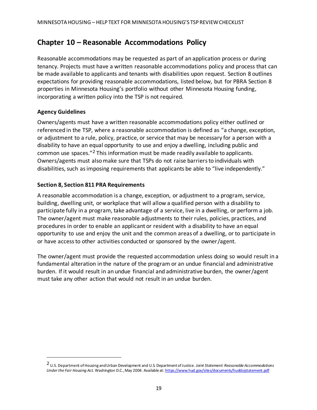# <span id="page-20-0"></span>**Chapter 10 – Reasonable Accommodations Policy**

Reasonable accommodations may be requested as part of an application process or during tenancy. Projects must have a written reasonable accommodations policy and process that can be made available to applicants and tenants with disabilities upon request. Section 8 outlines expectations for providing reasonable accommodations, listed below, but for PBRA Section 8 properties in Minnesota Housing's portfolio without other Minnesota Housing funding, incorporating a written policy into the TSP is not required.

#### **Agency Guidelines**

Owners/agents must have a written reasonable accommodations policy either outlined or referenced in the TSP, where a reasonable accommodation is defined as "a change, exception, or adjustment to a rule, policy, practice, or service that may be necessary for a person with a disability to have an equal opportunity to use and enjoy a dwelling, including public and common use spaces."<sup>2</sup> This information must be made readily available to applicants. Owners/agents must also make sure that TSPs do not raise barriers to individuals with disabilities, such as imposing requirements that applicants be able to "live independently."

#### **Section 8, Section 811 PRA Requirements**

A reasonable accommodation is a change, exception, or adjustment to a program, service, building, dwelling unit, or workplace that will allow a qualified person with a disability to participate fully in a program, take advantage of a service, live in a dwelling, or perform a job. The owner/agent must make reasonable adjustments to their rules, policies, practices, and procedures in order to enable an applicant or resident with a disability to have an equal opportunity to use and enjoy the unit and the common areas of a dwelling, or to participate in or have access to other activities conducted or sponsored by the owner/agent.

The owner/agent must provide the requested accommodation unless doing so would result in a fundamental alteration in the nature of the program or an undue financial and administrative burden. If it would result in an undue financial and administrative burden, the owner/agent must take any other action that would not result in an undue burden.

<sup>2</sup> U.S. Department of Housing and Urban Development and U.S. Department of Justice. *Joint Statement: Reasonable Accommodations Under the Fair Housing Act.* Washington D.C., May 2004. Available at[: https://www.hud.gov/sites/documents/huddojstatement.pdf](https://www.hud.gov/sites/documents/huddojstatement.pdf)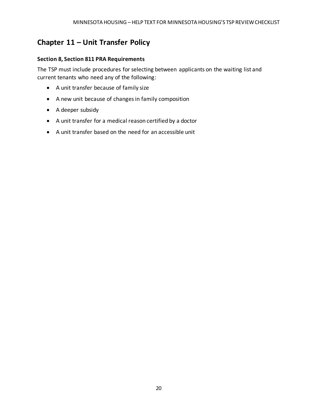# <span id="page-21-0"></span>**Chapter 11 – Unit Transfer Policy**

#### **Section 8, Section 811 PRA Requirements**

The TSP must include procedures for selecting between applicants on the waiting list and current tenants who need any of the following:

- A unit transfer because of family size
- A new unit because of changes in family composition
- A deeper subsidy
- A unit transfer for a medical reason certified by a doctor
- A unit transfer based on the need for an accessible unit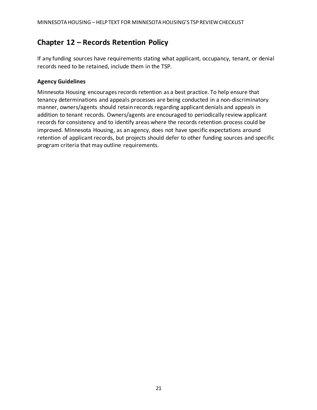# <span id="page-22-0"></span>**Chapter 12 – Records Retention Policy**

If any funding sources have requirements stating what applicant, occupancy, tenant, or denial records need to be retained, include them in the TSP.

#### **Agency Guidelines**

Minnesota Housing encourages records retention as a best practice. To help ensure that tenancy determinations and appeals processes are being conducted in a non-discriminatory manner, owners/agents should retain records regarding applicant denials and appeals in addition to tenant records. Owners/agents are encouraged to periodically review applicant records for consistency and to identify areas where the records retention process could be improved. Minnesota Housing, as an agency, does not have specific expectations around retention of applicant records, but projects should defer to other funding sources and specific program criteria that may outline requirements.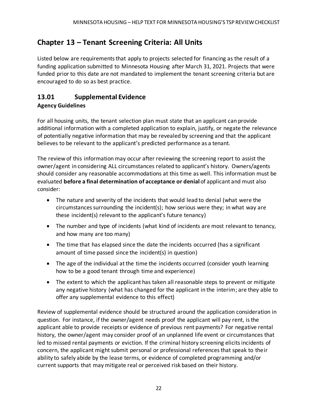# <span id="page-23-0"></span>**Chapter 13 – Tenant Screening Criteria: All Units**

Listed below are requirements that apply to projects selected for financing as the result of a funding application submitted to Minnesota Housing after March 31, 2021. Projects that were funded prior to this date are not mandated to implement the tenant screening criteria but are encouraged to do so as best practice.

# <span id="page-23-1"></span>**13.01 Supplemental Evidence**

#### **Agency Guidelines**

For all housing units, the tenant selection plan must state that an applicant can provide additional information with a completed application to explain, justify, or negate the relevance of potentially negative information that may be revealed by screening and that the applicant believes to be relevant to the applicant's predicted performance as a tenant.

The review of this information may occur after reviewing the screening report to assist the owner/agent in considering ALL circumstances related to applicant's history. Owners/agents should consider any reasonable accommodations at this time as well. This information must be evaluated **before a final determination of acceptance or denial** of applicant and must also consider:

- The nature and severity of the incidents that would lead to denial (what were the circumstances surrounding the incident(s); how serious were they; in what way are these incident(s) relevant to the applicant's future tenancy)
- The number and type of incidents (what kind of incidents are most relevant to tenancy, and how many are too many)
- The time that has elapsed since the date the incidents occurred (has a significant amount of time passed since the incident(s) in question)
- The age of the individual at the time the incidents occurred (consider youth learning how to be a good tenant through time and experience)
- The extent to which the applicant has taken all reasonable steps to prevent or mitigate any negative history (what has changed for the applicant in the interim; are they able to offer any supplemental evidence to this effect)

Review of supplemental evidence should be structured around the application consideration in question. For instance, if the owner/agent needs proof the applicant will pay rent, is the applicant able to provide receipts or evidence of previous rent payments? For negative rental history, the owner/agent may consider proof of an unplanned life event or circumstances that led to missed rental payments or eviction. If the criminal history screening elicits incidents of concern, the applicant might submit personal or professional references that speak to their ability to safely abide by the lease terms, or evidence of completed programming and/or current supports that may mitigate real or perceived risk based on their history.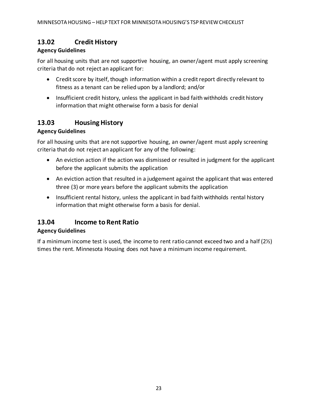# <span id="page-24-0"></span>**13.02 Credit History**

#### **Agency Guidelines**

For all housing units that are not supportive housing, an owner/agent must apply screening criteria that do not reject an applicant for:

- Credit score by itself, though information within a credit report directly relevant to fitness as a tenant can be relied upon by a landlord; and/or
- Insufficient credit history, unless the applicant in bad faith withholds credit history information that might otherwise form a basis for denial

### <span id="page-24-1"></span>**13.03 Housing History**

#### **Agency Guidelines**

For all housing units that are not supportive housing, an owner/agent must apply screening criteria that do not reject an applicant for any of the following:

- An eviction action if the action was dismissed or resulted in judgment for the applicant before the applicant submits the application
- An eviction action that resulted in a judgement against the applicant that was entered three (3) or more years before the applicant submits the application
- Insufficient rental history, unless the applicant in bad faith withholds rental history information that might otherwise form a basis for denial.

### <span id="page-24-2"></span>**13.04 Income to Rent Ratio**

#### **Agency Guidelines**

If a minimum income test is used, the income to rent ratio cannot exceed two and a half  $(2\nu)$ times the rent. Minnesota Housing does not have a minimum income requirement.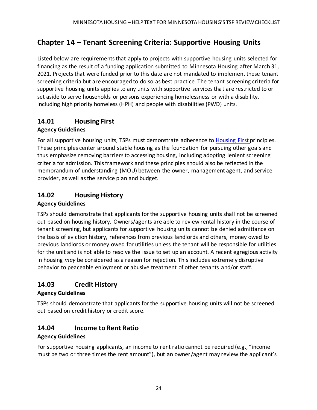# <span id="page-25-0"></span>**Chapter 14 – Tenant Screening Criteria: Supportive Housing Units**

Listed below are requirements that apply to projects with supportive housing units selected for financing as the result of a funding application submitted to Minnesota Housing after March 31, 2021. Projects that were funded prior to this date are not mandated to implement these tenant screening criteria but are encouraged to do so as best practice. The tenant screening criteria for supportive housing units applies to any units with supportive services that are restricted to or set aside to serve households or persons experiencing homelessness or with a disability, including high priority homeless (HPH) and people with disabilities (PWD) units.

### <span id="page-25-1"></span>**14.01 Housing First**

#### **Agency Guidelines**

For all supportive housing units, TSPs must demonstrate adherence to [Housing First](https://www.usich.gov/resources/uploads/asset_library/Implementing_Housing_First_in_Permanent_Supportive_Housing.pdf) principles. These principles center around stable housing as the foundation for pursuing other goals and thus emphasize removing barriers to accessing housing, including adopting lenient screening criteria for admission. This framework and these principles should also be reflected in the memorandum of understanding (MOU) between the owner, management agent, and service provider, as well as the service plan and budget.

### <span id="page-25-2"></span>**14.02 Housing History**

#### **Agency Guidelines**

TSPs should demonstrate that applicants for the supportive housing units shall not be screened out based on housing history. Owners/agents are able to review rental history in the course of tenant screening, but applicants for supportive housing units cannot be denied admittance on the basis of eviction history, references from previous landlords and others, money owed to previous landlords or money owed for utilities unless the tenant will be responsible for utilities for the unit and is not able to resolve the issue to set up an account. A recent egregious activity in housing *may* be considered as a reason for rejection. This includes extremely disruptive behavior to peaceable enjoyment or abusive treatment of other tenants and/or staff.

# <span id="page-25-3"></span>**14.03 Credit History**

#### **Agency Guidelines**

TSPs should demonstrate that applicants for the supportive housing units will not be screened out based on credit history or credit score.

### <span id="page-25-4"></span>**14.04 Income to Rent Ratio**

#### **Agency Guidelines**

For supportive housing applicants, an income to rent ratio cannot be required (e.g., "income must be two or three times the rent amount"), but an owner/agent may review the applicant's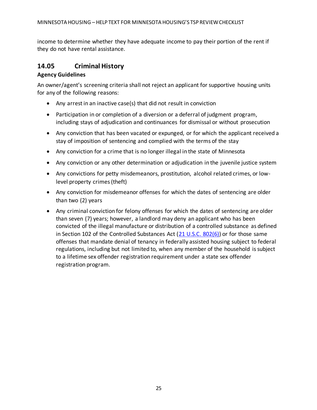income to determine whether they have adequate income to pay their portion of the rent if they do not have rental assistance.

### <span id="page-26-0"></span>**14.05 Criminal History**

#### **Agency Guidelines**

An owner/agent's screening criteria shall not reject an applicant for supportive housing units for any of the following reasons:

- Any arrest in an inactive case(s) that did not result in conviction
- Participation in or completion of a diversion or a deferral of judgment program, including stays of adjudication and continuances for dismissal or without prosecution
- Any conviction that has been vacated or expunged, or for which the applicant received a stay of imposition of sentencing and complied with the terms of the stay
- Any conviction for a crime that is no longer illegal in the state of Minnesota
- Any conviction or any other determination or adjudication in the juvenile justice system
- Any convictions for petty misdemeanors, prostitution, alcohol related crimes, or lowlevel property crimes (theft)
- Any conviction for misdemeanor offenses for which the dates of sentencing are older than two (2) years
- Any criminal conviction for felony offenses for which the dates of sentencing are older than seven (7) years; however, a landlord may deny an applicant who has been convicted of the illegal manufacture or distribution of a controlled substance as defined in Section 102 of the Controlled Substances Act [\(21 U.S.C. 802\(6\)\)](https://www.law.cornell.edu/uscode/text/21/802) or for those same offenses that mandate denial of tenancy in federally assisted housing subject to federal regulations, including but not limited to, when any member of the household is subject to a lifetime sex offender registration requirement under a state sex offender registration program.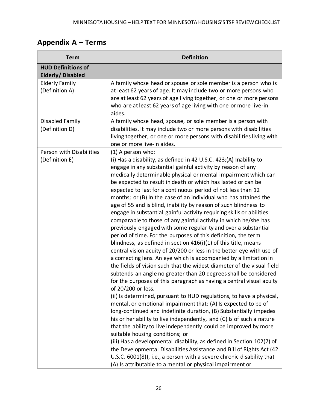# <span id="page-27-0"></span>**Appendix A – Terms**

| <b>Term</b>                                          | <b>Definition</b>                                                                                                                                                                                                                                                                                                                                                                                                                                                                                                                                                                                                                                                                                                                                                                                                                                                                                                                                                                                                                                                                                                                                                                                                                                                                                                                                                                                                                                                                                                                                                                                                                                                                                                                                                                                                                                                                                                                   |  |  |  |  |
|------------------------------------------------------|-------------------------------------------------------------------------------------------------------------------------------------------------------------------------------------------------------------------------------------------------------------------------------------------------------------------------------------------------------------------------------------------------------------------------------------------------------------------------------------------------------------------------------------------------------------------------------------------------------------------------------------------------------------------------------------------------------------------------------------------------------------------------------------------------------------------------------------------------------------------------------------------------------------------------------------------------------------------------------------------------------------------------------------------------------------------------------------------------------------------------------------------------------------------------------------------------------------------------------------------------------------------------------------------------------------------------------------------------------------------------------------------------------------------------------------------------------------------------------------------------------------------------------------------------------------------------------------------------------------------------------------------------------------------------------------------------------------------------------------------------------------------------------------------------------------------------------------------------------------------------------------------------------------------------------------|--|--|--|--|
| <b>HUD Definitions of</b><br><b>Elderly/Disabled</b> |                                                                                                                                                                                                                                                                                                                                                                                                                                                                                                                                                                                                                                                                                                                                                                                                                                                                                                                                                                                                                                                                                                                                                                                                                                                                                                                                                                                                                                                                                                                                                                                                                                                                                                                                                                                                                                                                                                                                     |  |  |  |  |
| <b>Elderly Family</b><br>(Definition A)              | A family whose head or spouse or sole member is a person who is<br>at least 62 years of age. It may include two or more persons who<br>are at least 62 years of age living together, or one or more persons<br>who are at least 62 years of age living with one or more live-in<br>aides.                                                                                                                                                                                                                                                                                                                                                                                                                                                                                                                                                                                                                                                                                                                                                                                                                                                                                                                                                                                                                                                                                                                                                                                                                                                                                                                                                                                                                                                                                                                                                                                                                                           |  |  |  |  |
| Disabled Family<br>(Definition D)                    | A family whose head, spouse, or sole member is a person with<br>disabilities. It may include two or more persons with disabilities<br>living together, or one or more persons with disabilities living with<br>one or more live-in aides.                                                                                                                                                                                                                                                                                                                                                                                                                                                                                                                                                                                                                                                                                                                                                                                                                                                                                                                                                                                                                                                                                                                                                                                                                                                                                                                                                                                                                                                                                                                                                                                                                                                                                           |  |  |  |  |
| Person with Disabilities<br>(Definition E)           | (1) A person who:<br>(i) Has a disability, as defined in 42 U.S.C. 423;(A) Inability to<br>engage in any substantial gainful activity by reason of any<br>medically determinable physical or mental impairment which can<br>be expected to result in death or which has lasted or can be<br>expected to last for a continuous period of not less than 12<br>months; or (B) In the case of an individual who has attained the<br>age of 55 and is blind, inability by reason of such blindness to<br>engage in substantial gainful activity requiring skills or abilities<br>comparable to those of any gainful activity in which he/she has<br>previously engaged with some regularity and over a substantial<br>period of time. For the purposes of this definition, the term<br>blindness, as defined in section $416(i)(1)$ of this title, means<br>central vision acuity of 20/200 or less in the better eye with use of<br>a correcting lens. An eye which is accompanied by a limitation in<br>the fields of vision such that the widest diameter of the visual field<br>subtends an angle no greater than 20 degrees shall be considered<br>for the purposes of this paragraph as having a central visual acuity<br>of 20/200 or less.<br>(ii) Is determined, pursuant to HUD regulations, to have a physical,<br>mental, or emotional impairment that: (A) Is expected to be of<br>long-continued and indefinite duration, (B) Substantially impedes<br>his or her ability to live independently, and (C) Is of such a nature<br>that the ability to live independently could be improved by more<br>suitable housing conditions; or<br>(iii) Has a developmental disability, as defined in Section 102(7) of<br>the Developmental Disabilities Assistance and Bill of Rights Act (42<br>U.S.C. 6001(8)), i.e., a person with a severe chronic disability that<br>(A) Is attributable to a mental or physical impairment or |  |  |  |  |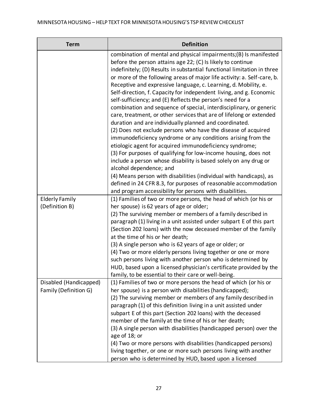| <b>Term</b>                             | <b>Definition</b>                                                                                                                                                                                                                                                                                                                                                                                                                                                                                                                                                                                                                                                                                                                                                                                                                                                                                                                                                   |  |  |  |  |
|-----------------------------------------|---------------------------------------------------------------------------------------------------------------------------------------------------------------------------------------------------------------------------------------------------------------------------------------------------------------------------------------------------------------------------------------------------------------------------------------------------------------------------------------------------------------------------------------------------------------------------------------------------------------------------------------------------------------------------------------------------------------------------------------------------------------------------------------------------------------------------------------------------------------------------------------------------------------------------------------------------------------------|--|--|--|--|
|                                         | combination of mental and physical impairments;(B) Is manifested<br>before the person attains age 22; (C) Is likely to continue<br>indefinitely; (D) Results in substantial functional limitation in three<br>or more of the following areas of major life activity: a. Self-care, b.<br>Receptive and expressive language, c. Learning, d. Mobility, e.<br>Self-direction, f. Capacity for independent living, and g. Economic<br>self-sufficiency; and (E) Reflects the person's need for a<br>combination and sequence of special, interdisciplinary, or generic<br>care, treatment, or other services that are of lifelong or extended<br>duration and are individually planned and coordinated.<br>(2) Does not exclude persons who have the disease of acquired<br>immunodeficiency syndrome or any conditions arising from the<br>etiologic agent for acquired immunodeficiency syndrome;<br>(3) For purposes of qualifying for low-income housing, does not |  |  |  |  |
|                                         | include a person whose disability is based solely on any drug or<br>alcohol dependence; and<br>(4) Means person with disabilities (individual with handicaps), as                                                                                                                                                                                                                                                                                                                                                                                                                                                                                                                                                                                                                                                                                                                                                                                                   |  |  |  |  |
|                                         | defined in 24 CFR 8.3, for purposes of reasonable accommodation<br>and program accessibility for persons with disabilities.                                                                                                                                                                                                                                                                                                                                                                                                                                                                                                                                                                                                                                                                                                                                                                                                                                         |  |  |  |  |
| <b>Elderly Family</b><br>(Definition B) | (1) Families of two or more persons, the head of which (or his or<br>her spouse) is 62 years of age or older;                                                                                                                                                                                                                                                                                                                                                                                                                                                                                                                                                                                                                                                                                                                                                                                                                                                       |  |  |  |  |
|                                         | (2) The surviving member or members of a family described in<br>paragraph (1) living in a unit assisted under subpart E of this part<br>(Section 202 loans) with the now deceased member of the family<br>at the time of his or her death;                                                                                                                                                                                                                                                                                                                                                                                                                                                                                                                                                                                                                                                                                                                          |  |  |  |  |
|                                         | (3) A single person who is 62 years of age or older; or<br>(4) Two or more elderly persons living together or one or more<br>such persons living with another person who is determined by<br>HUD, based upon a licensed physician's certificate provided by the                                                                                                                                                                                                                                                                                                                                                                                                                                                                                                                                                                                                                                                                                                     |  |  |  |  |
| Disabled (Handicapped)                  | family, to be essential to their care or well-being.<br>(1) Families of two or more persons the head of which (or his or                                                                                                                                                                                                                                                                                                                                                                                                                                                                                                                                                                                                                                                                                                                                                                                                                                            |  |  |  |  |
| Family (Definition G)                   | her spouse) is a person with disabilities (handicapped);<br>(2) The surviving member or members of any family described in<br>paragraph (1) of this definition living in a unit assisted under<br>subpart E of this part (Section 202 loans) with the deceased<br>member of the family at the time of his or her death;<br>(3) A single person with disabilities (handicapped person) over the<br>age of 18; or                                                                                                                                                                                                                                                                                                                                                                                                                                                                                                                                                     |  |  |  |  |
|                                         | (4) Two or more persons with disabilities (handicapped persons)<br>living together, or one or more such persons living with another<br>person who is determined by HUD, based upon a licensed                                                                                                                                                                                                                                                                                                                                                                                                                                                                                                                                                                                                                                                                                                                                                                       |  |  |  |  |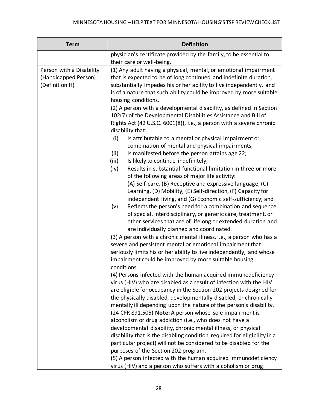| <b>Term</b>                                                        | <b>Definition</b>                                                                                                                                                                                                                                                                                                                                                                                                                                                                                                                                                                                                                                                                                                                                                                                                                                                                                                                                                                                                                                                                                                                                                                                                                                                                                                                                                                                                                                                                                                                                                                                                                                                                                                                                                                                                                                                                                                                                                                                                                                                                                                                                                                                                                                                                                                                                                                                                                                                                                                       |  |  |  |  |
|--------------------------------------------------------------------|-------------------------------------------------------------------------------------------------------------------------------------------------------------------------------------------------------------------------------------------------------------------------------------------------------------------------------------------------------------------------------------------------------------------------------------------------------------------------------------------------------------------------------------------------------------------------------------------------------------------------------------------------------------------------------------------------------------------------------------------------------------------------------------------------------------------------------------------------------------------------------------------------------------------------------------------------------------------------------------------------------------------------------------------------------------------------------------------------------------------------------------------------------------------------------------------------------------------------------------------------------------------------------------------------------------------------------------------------------------------------------------------------------------------------------------------------------------------------------------------------------------------------------------------------------------------------------------------------------------------------------------------------------------------------------------------------------------------------------------------------------------------------------------------------------------------------------------------------------------------------------------------------------------------------------------------------------------------------------------------------------------------------------------------------------------------------------------------------------------------------------------------------------------------------------------------------------------------------------------------------------------------------------------------------------------------------------------------------------------------------------------------------------------------------------------------------------------------------------------------------------------------------|--|--|--|--|
|                                                                    | physician's certificate provided by the family, to be essential to<br>their care or well-being.                                                                                                                                                                                                                                                                                                                                                                                                                                                                                                                                                                                                                                                                                                                                                                                                                                                                                                                                                                                                                                                                                                                                                                                                                                                                                                                                                                                                                                                                                                                                                                                                                                                                                                                                                                                                                                                                                                                                                                                                                                                                                                                                                                                                                                                                                                                                                                                                                         |  |  |  |  |
| Person with a Disability<br>(Handicapped Person)<br>(Definition H) | (1) Any adult having a physical, mental, or emotional impairment<br>that is expected to be of long continued and indefinite duration,<br>substantially impedes his or her ability to live independently, and<br>is of a nature that such ability could be improved by more suitable<br>housing conditions.<br>(2) A person with a developmental disability, as defined in Section<br>102(7) of the Developmental Disabilities Assistance and Bill of<br>Rights Act (42 U.S.C. 6001(8)), i.e., a person with a severe chronic<br>disability that:<br>(i)<br>Is attributable to a mental or physical impairment or<br>combination of mental and physical impairments;<br>(ii)<br>Is manifested before the person attains age 22;<br>(iii)<br>Is likely to continue indefinitely;<br>Results in substantial functional limitation in three or more<br>(iv)<br>of the following areas of major life activity:<br>(A) Self-care, (B) Receptive and expressive language, (C)<br>Learning, (D) Mobility, (E) Self-direction, (F) Capacity for<br>independent living, and (G) Economic self-sufficiency; and<br>Reflects the person's need for a combination and sequence<br>(v)<br>of special, interdisciplinary, or generic care, treatment, or<br>other services that are of lifelong or extended duration and<br>are individually planned and coordinated.<br>(3) A person with a chronic mental illness, i.e., a person who has a<br>severe and persistent mental or emotional impairment that<br>seriously limits his or her ability to live independently, and whose<br>impairment could be improved by more suitable housing<br>conditions.<br>(4) Persons infected with the human acquired immunodeficiency<br>virus (HIV) who are disabled as a result of infection with the HIV<br>are eligible for occupancy in the Section 202 projects designed for<br>the physically disabled, developmentally disabled, or chronically<br>mentally ill depending upon the nature of the person's disability.<br>(24 CFR 891.505) Note: A person whose sole impairment is<br>alcoholism or drug addiction (i.e., who does not have a<br>developmental disability, chronic mental illness, or physical<br>disability that is the disabling condition required for eligibility in a<br>particular project) will not be considered to be disabled for the<br>purposes of the Section 202 program.<br>(5) A person infected with the human acquired immunodeficiency<br>virus (HIV) and a person who suffers with alcoholism or drug |  |  |  |  |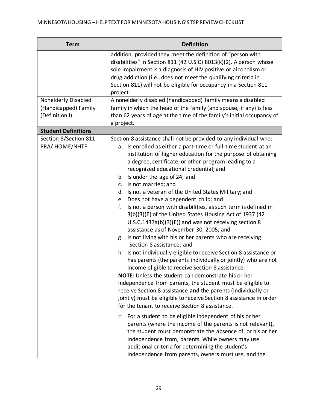| <b>Term</b>                             | <b>Definition</b>                                                                                                                                                                                                                                                                                                                                                                                                                                                                                                                                                                                                                                                                                                                                                                                                                                                                                                                                                                                                                                                     |  |  |  |  |
|-----------------------------------------|-----------------------------------------------------------------------------------------------------------------------------------------------------------------------------------------------------------------------------------------------------------------------------------------------------------------------------------------------------------------------------------------------------------------------------------------------------------------------------------------------------------------------------------------------------------------------------------------------------------------------------------------------------------------------------------------------------------------------------------------------------------------------------------------------------------------------------------------------------------------------------------------------------------------------------------------------------------------------------------------------------------------------------------------------------------------------|--|--|--|--|
|                                         | addition, provided they meet the definition of "person with<br>disabilities" in Section 811 (42 U.S.C) 8013(k)(2). A person whose<br>sole impairment is a diagnosis of HIV positive or alcoholism or<br>drug addiction (i.e., does not meet the qualifying criteria in<br>Section 811) will not be eligible for occupancy in a Section 811<br>project.                                                                                                                                                                                                                                                                                                                                                                                                                                                                                                                                                                                                                                                                                                                |  |  |  |  |
| Nonelderly Disabled                     | A nonelderly disabled (handicapped) family means a disabled                                                                                                                                                                                                                                                                                                                                                                                                                                                                                                                                                                                                                                                                                                                                                                                                                                                                                                                                                                                                           |  |  |  |  |
| (Handicapped) Family<br>(Definition I)  | family in which the head of the family (and spouse, if any) is less<br>than 62 years of age at the time of the family's initial occupancy of                                                                                                                                                                                                                                                                                                                                                                                                                                                                                                                                                                                                                                                                                                                                                                                                                                                                                                                          |  |  |  |  |
|                                         | a project.                                                                                                                                                                                                                                                                                                                                                                                                                                                                                                                                                                                                                                                                                                                                                                                                                                                                                                                                                                                                                                                            |  |  |  |  |
| <b>Student Definitions</b>              |                                                                                                                                                                                                                                                                                                                                                                                                                                                                                                                                                                                                                                                                                                                                                                                                                                                                                                                                                                                                                                                                       |  |  |  |  |
| Section 8/Section 811<br>PRA/ HOME/NHTF | Section 8 assistance shall not be provided to any individual who:<br>a. Is enrolled as either a part-time or full-time student at an<br>institution of higher education for the purpose of obtaining<br>a degree, certificate, or other program leading to a<br>recognized educational credential; and<br>b. Is under the age of 24; and<br>c. Is not married; and<br>d. Is not a veteran of the United States Military; and<br>e. Does not have a dependent child; and<br>f.<br>Is not a person with disabilities, as such term is defined in<br>3(b)(3)(E) of the United States Housing Act of 1937 (42<br>$U.S.C.1437a(b)(3)(E)$ and was not receiving section 8<br>assistance as of November 30, 2005; and<br>Is not living with his or her parents who are receiving<br>g.<br>Section 8 assistance; and<br>h. Is not individually eligible to receive Section 8 assistance or<br>has parents (the parents individually or jointly) who are not<br>income eligible to receive Section 8 assistance.<br><b>NOTE:</b> Unless the student can demonstrate his or her |  |  |  |  |
|                                         | independence from parents, the student must be eligible to<br>receive Section 8 assistance and the parents (individually or<br>jointly) must be eligible to receive Section 8 assistance in order<br>for the tenant to receive Section 8 assistance.<br>For a student to be eligible independent of his or her<br>$\circ$                                                                                                                                                                                                                                                                                                                                                                                                                                                                                                                                                                                                                                                                                                                                             |  |  |  |  |
|                                         | parents (where the income of the parents is not relevant),<br>the student must demonstrate the absence of, or his or her<br>independence from, parents. While owners may use<br>additional criteria for determining the student's<br>independence from parents, owners must use, and the                                                                                                                                                                                                                                                                                                                                                                                                                                                                                                                                                                                                                                                                                                                                                                              |  |  |  |  |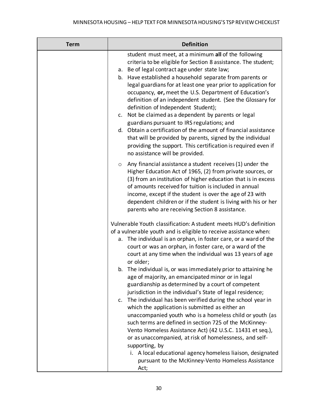| <b>Term</b> | <b>Definition</b>                                                                                                                                                                                                                                                                                                                                                                                                                                                                                                                                                                                                                                                                                                                                                                                                                                                                                                                                                                                                                                |
|-------------|--------------------------------------------------------------------------------------------------------------------------------------------------------------------------------------------------------------------------------------------------------------------------------------------------------------------------------------------------------------------------------------------------------------------------------------------------------------------------------------------------------------------------------------------------------------------------------------------------------------------------------------------------------------------------------------------------------------------------------------------------------------------------------------------------------------------------------------------------------------------------------------------------------------------------------------------------------------------------------------------------------------------------------------------------|
|             | student must meet, at a minimum all of the following<br>criteria to be eligible for Section 8 assistance. The student;<br>a. Be of legal contract age under state law;<br>b. Have established a household separate from parents or<br>legal guardians for at least one year prior to application for<br>occupancy, or, meet the U.S. Department of Education's<br>definition of an independent student. (See the Glossary for<br>definition of Independent Student);<br>c. Not be claimed as a dependent by parents or legal<br>guardians pursuant to IRS regulations; and<br>d. Obtain a certification of the amount of financial assistance<br>that will be provided by parents, signed by the individual<br>providing the support. This certification is required even if<br>no assistance will be provided.                                                                                                                                                                                                                                  |
|             | Any financial assistance a student receives (1) under the<br>$\circ$<br>Higher Education Act of 1965, (2) from private sources, or<br>(3) from an institution of higher education that is in excess<br>of amounts received for tuition is included in annual<br>income, except if the student is over the age of 23 with<br>dependent children or if the student is living with his or her<br>parents who are receiving Section 8 assistance.                                                                                                                                                                                                                                                                                                                                                                                                                                                                                                                                                                                                    |
|             | Vulnerable Youth classification: A student meets HUD's definition<br>of a vulnerable youth and is eligible to receive assistance when:<br>a. The individual is an orphan, in foster care, or a ward of the<br>court or was an orphan, in foster care, or a ward of the<br>court at any time when the individual was 13 years of age<br>or older;<br>The individual is, or was immediately prior to attaining he<br>b.<br>age of majority, an emancipated minor or in legal<br>guardianship as determined by a court of competent<br>jurisdiction in the individual's State of legal residence;<br>c. The individual has been verified during the school year in<br>which the application is submitted as either an<br>unaccompanied youth who is a homeless child or youth (as<br>such terms are defined in section 725 of the McKinney-<br>Vento Homeless Assistance Act) (42 U.S.C. 11431 et seq.),<br>or as unaccompanied, at risk of homelessness, and self-<br>supporting, by<br>i. A local educational agency homeless liaison, designated |
|             | pursuant to the McKinney-Vento Homeless Assistance<br>Act;                                                                                                                                                                                                                                                                                                                                                                                                                                                                                                                                                                                                                                                                                                                                                                                                                                                                                                                                                                                       |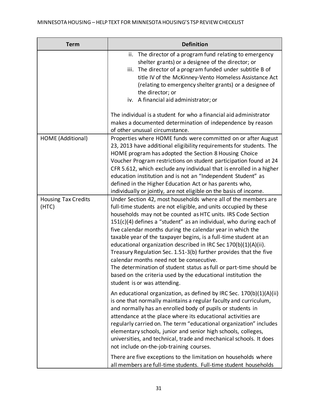| <b>Term</b>                         | <b>Definition</b>                                                                                                                                                                                                                                                                                                                                                                                                                                                                                                                                                                                                                                                                                                                                                        |  |  |  |  |
|-------------------------------------|--------------------------------------------------------------------------------------------------------------------------------------------------------------------------------------------------------------------------------------------------------------------------------------------------------------------------------------------------------------------------------------------------------------------------------------------------------------------------------------------------------------------------------------------------------------------------------------------------------------------------------------------------------------------------------------------------------------------------------------------------------------------------|--|--|--|--|
|                                     | ii. The director of a program fund relating to emergency<br>shelter grants) or a designee of the director; or<br>iii. The director of a program funded under subtitle B of<br>title IV of the McKinney-Vento Homeless Assistance Act<br>(relating to emergency shelter grants) or a designee of<br>the director; or<br>A financial aid administrator; or<br>iv.                                                                                                                                                                                                                                                                                                                                                                                                          |  |  |  |  |
|                                     | The individual is a student for who a financial aid administrator<br>makes a documented determination of independence by reason<br>of other unusual circumstance.                                                                                                                                                                                                                                                                                                                                                                                                                                                                                                                                                                                                        |  |  |  |  |
| HOME (Additional)                   | Properties where HOME funds were committed on or after August<br>23, 2013 have additional eligibility requirements for students. The<br>HOME program has adopted the Section 8 Housing Choice<br>Voucher Program restrictions on student participation found at 24<br>CFR 5.612, which exclude any individual that is enrolled in a higher<br>education institution and is not an "Independent Student" as<br>defined in the Higher Education Act or has parents who,<br>individually or jointly, are not eligible on the basis of income.                                                                                                                                                                                                                               |  |  |  |  |
| <b>Housing Tax Credits</b><br>(HTC) | Under Section 42, most households where all of the members are<br>full-time students are not eligible, and units occupied by these<br>households may not be counted as HTC units. IRS Code Section<br>$151(c)(4)$ defines a "student" as an individual, who during each of<br>five calendar months during the calendar year in which the<br>taxable year of the taxpayer begins, is a full-time student at an<br>educational organization described in IRC Sec 170(b)(1)(A)(ii).<br>Treasury Regulation Sec. 1.51-3(b) further provides that the five<br>calendar months need not be consecutive.<br>The determination of student status as full or part-time should be<br>based on the criteria used by the educational institution the<br>student is or was attending. |  |  |  |  |
|                                     | An educational organization, as defined by IRC Sec. 170(b)(1)(A)(ii)<br>is one that normally maintains a regular faculty and curriculum,<br>and normally has an enrolled body of pupils or students in<br>attendance at the place where its educational activities are<br>regularly carried on. The term "educational organization" includes<br>elementary schools, junior and senior high schools, colleges,<br>universities, and technical, trade and mechanical schools. It does<br>not include on-the-job-training courses.                                                                                                                                                                                                                                          |  |  |  |  |
|                                     | There are five exceptions to the limitation on households where<br>all members are full-time students. Full-time student households                                                                                                                                                                                                                                                                                                                                                                                                                                                                                                                                                                                                                                      |  |  |  |  |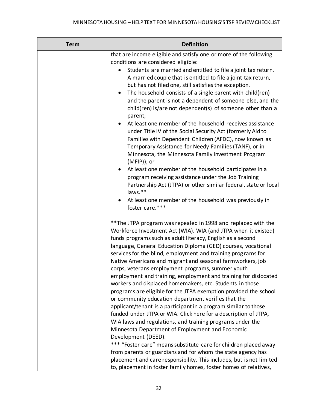| <b>Term</b> | <b>Definition</b>                                                                                                                                                                                                                                                                                                                                                                                                                                                                                                                                                                                                                                                                                                                                                                                                                                                                                                                                                                                                                                                                                                                                                                                                                                                        |  |  |  |
|-------------|--------------------------------------------------------------------------------------------------------------------------------------------------------------------------------------------------------------------------------------------------------------------------------------------------------------------------------------------------------------------------------------------------------------------------------------------------------------------------------------------------------------------------------------------------------------------------------------------------------------------------------------------------------------------------------------------------------------------------------------------------------------------------------------------------------------------------------------------------------------------------------------------------------------------------------------------------------------------------------------------------------------------------------------------------------------------------------------------------------------------------------------------------------------------------------------------------------------------------------------------------------------------------|--|--|--|
|             | that are income eligible and satisfy one or more of the following<br>conditions are considered eligible:<br>Students are married and entitled to file a joint tax return.<br>A married couple that is entitled to file a joint tax return,<br>but has not filed one, still satisfies the exception.<br>The household consists of a single parent with child(ren)<br>and the parent is not a dependent of someone else, and the<br>child(ren) is/are not dependent(s) of someone other than a<br>parent;<br>At least one member of the household receives assistance<br>under Title IV of the Social Security Act (formerly Aid to<br>Families with Dependent Children (AFDC), now known as<br>Temporary Assistance for Needy Families (TANF), or in<br>Minnesota, the Minnesota Family Investment Program<br>$(MFIP)$ ; or<br>At least one member of the household participates in a<br>program receiving assistance under the Job Training<br>Partnership Act (JTPA) or other similar federal, state or local<br>laws.**<br>At least one member of the household was previously in<br>foster care.***                                                                                                                                                                   |  |  |  |
|             | ** The JTPA program was repealed in 1998 and replaced with the<br>Workforce Investment Act (WIA). WIA (and JTPA when it existed)<br>funds programs such as adult literacy, English as a second<br>language, General Education Diploma (GED) courses, vocational<br>services for the blind, employment and training programs for<br>Native Americans and migrant and seasonal farmworkers, job<br>corps, veterans employment programs, summer youth<br>employment and training, employment and training for dislocated<br>workers and displaced homemakers, etc. Students in those<br>programs are eligible for the JTPA exemption provided the school<br>or community education department verifies that the<br>applicant/tenant is a participant in a program similar to those<br>funded under JTPA or WIA. Click here for a description of JTPA,<br>WIA laws and regulations, and training programs under the<br>Minnesota Department of Employment and Economic<br>Development (DEED).<br>*** "Foster care" means substitute care for children placed away<br>from parents or guardians and for whom the state agency has<br>placement and care responsibility. This includes, but is not limited<br>to, placement in foster family homes, foster homes of relatives, |  |  |  |